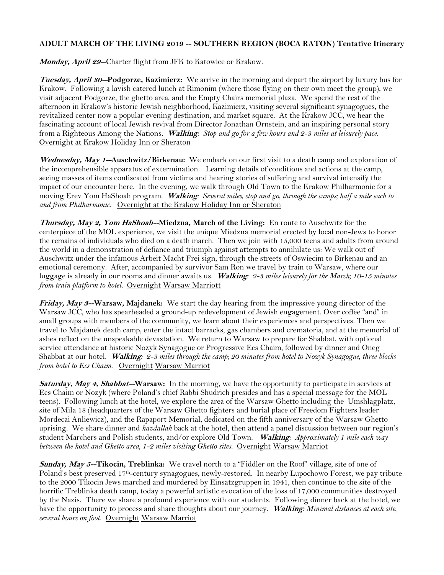## **ADULT MARCH OF THE LIVING 2019 -- SOUTHERN REGION (BOCA RATON) Tentative Itinerary**

Monday, April 29-Charter flight from JFK to Katowice or Krakow.

**Tuesday, April 30--Podgorze, Kazimierz:** We arrive in the morning and depart the airport by luxury bus for Krakow. Following a lavish catered lunch at Rimonim (where those flying on their own meet the group), we visit adjacent Podgorze, the ghetto area, and the Empty Chairs memorial plaza. We spend the rest of the afternoon in Krakow's historic Jewish neighborhood, Kazimierz, visiting several significant synagogues, the revitalized center now a popular evening destination, and market square. At the Krakow JCC, we hear the fascinating account of local Jewish revival from Director Jonathan Ornstein, and an inspiring personal story from a Righteous Among the Nations. **Walking***: Stop and go for a few hours and 2-3 miles at leisurely pace*. Overnight at Krakow Holiday Inn or Sheraton

**Wednesday, May 1--Auschwitz/Birkenau:** We embark on our first visit to a death camp and exploration of the incomprehensible apparatus of extermination. Learning details of conditions and actions at the camp, seeing masses of items confiscated from victims and hearing stories of suffering and survival intensify the impact of our encounter here. In the evening, we walk through Old Town to the Krakow Philharmonic for a moving Erev Yom HaShoah program. **Walking***: Several miles, stop and go, through the camps; half a mile each to and from Philharmonic.* Overnight at the Krakow Holiday Inn or Sheraton

**Thursday, May 2, Yom HaShoah--Miedzna, March of the Living:** En route to Auschwitz for the centerpiece of the MOL experience, we visit the unique Miedzna memorial erected by local non-Jews to honor the remains of individuals who died on a death march. Then we join with 15,000 teens and adults from around the world in a demonstration of defiance and triumph against attempts to annihilate us: We walk out of Auschwitz under the infamous Arbeit Macht Frei sign, through the streets of Oswiecim to Birkenau and an emotional ceremony. After, accompanied by survivor Sam Ron we travel by train to Warsaw, where our luggage is already in our rooms and dinner awaits us. **Walking***: 2-3 miles leisurely for the March; 10-15 minutes from train platform to hotel.* Overnight Warsaw Marriott

**Friday, May 3--Warsaw, Majdanek:** We start the day hearing from the impressive young director of the Warsaw JCC, who has spearheaded a ground-up redevelopment of Jewish engagement. Over coffee "and" in small groups with members of the community, we learn about their experiences and perspectives. Then we travel to Majdanek death camp, enter the intact barracks, gas chambers and crematoria, and at the memorial of ashes reflect on the unspeakable devastation. We return to Warsaw to prepare for Shabbat, with optional service attendance at historic Nozyk Synagogue or Progressive Ecs Chaim, followed by dinner and Oneg Shabbat at our hotel. **Walking***: 2-3 miles through the camp; 20 minutes from hotel to Nozyk Synagogue, three blocks from hotel to Ecs Chaim*. Overnight Warsaw Marriot

**Saturday, May 4, Shabbat--Warsaw:** In the morning, we have the opportunity to participate in services at Ecs Chaim or Nozyk (where Poland's chief Rabbi Shudrich presides and has a special message for the MOL teens). Following lunch at the hotel, we explore the area of the Warsaw Ghetto including the Umshlagplatz, site of Mila 18 (headquarters of the Warsaw Ghetto fighters and burial place of Freedom Fighters leader Mordecai Anliewicz), and the Rapaport Memorial, dedicated on the fifth anniversary of the Warsaw Ghetto uprising. We share dinner and *havdallah* back at the hotel, then attend a panel discussion between our region's student Marchers and Polish students, and/or explore Old Town. **Walking***: Approximately 1 mile each way between the hotel and Ghetto area, 1-2 miles visiting Ghetto sites.* Overnight Warsaw Marriot

**Sunday, May 5--Tikocin, Treblinka:** We travel north to a "Fiddler on the Roof" village, site of one of Poland's best preserved 17th-century synagogues, newly-restored. In nearby Lupochowo Forest, we pay tribute to the 2000 Tikocin Jews marched and murdered by Einsatzgruppen in 1941, then continue to the site of the horrific Treblinka death camp, today a powerful artistic evocation of the loss of 17,000 communities destroyed by the Nazis. There we share a profound experience with our students. Following dinner back at the hotel, we have the opportunity to process and share thoughts about our journey. **Walking***: Minimal distances at each site, several hours on foot.* Overnight Warsaw Marriot